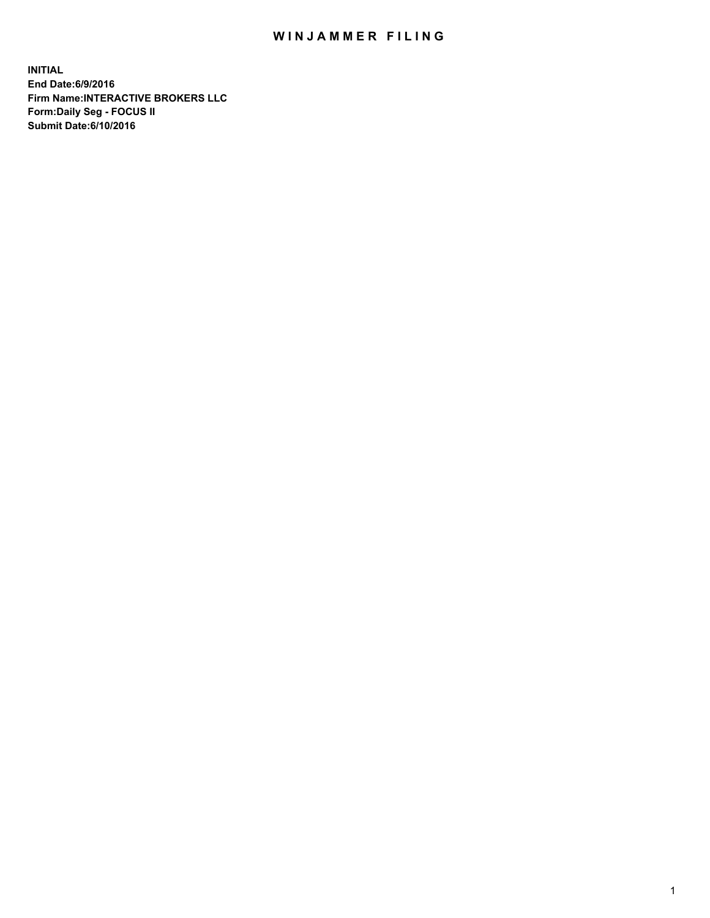## WIN JAMMER FILING

**INITIAL End Date:6/9/2016 Firm Name:INTERACTIVE BROKERS LLC Form:Daily Seg - FOCUS II Submit Date:6/10/2016**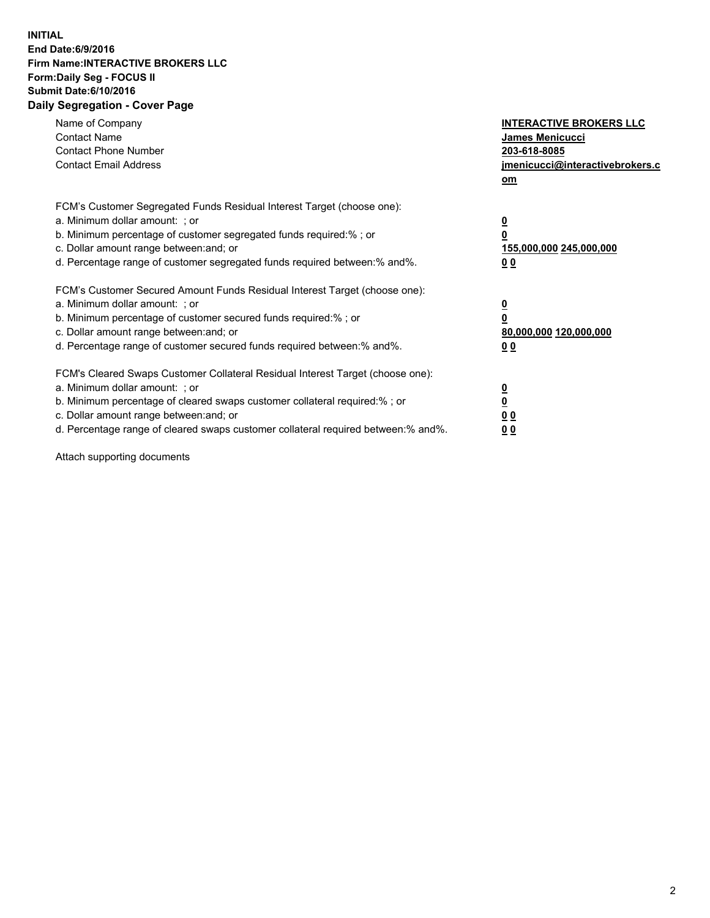## **INITIAL End Date:6/9/2016 Firm Name:INTERACTIVE BROKERS LLC Form:Daily Seg - FOCUS II Submit Date:6/10/2016 Daily Segregation - Cover Page**

| Name of Company<br><b>Contact Name</b><br><b>Contact Phone Number</b><br><b>Contact Email Address</b>                                                                                                                                                                                                                          | <b>INTERACTIVE BROKERS LLC</b><br><b>James Menicucci</b><br>203-618-8085<br>jmenicucci@interactivebrokers.c<br>om |
|--------------------------------------------------------------------------------------------------------------------------------------------------------------------------------------------------------------------------------------------------------------------------------------------------------------------------------|-------------------------------------------------------------------------------------------------------------------|
| FCM's Customer Segregated Funds Residual Interest Target (choose one):<br>a. Minimum dollar amount: ; or<br>b. Minimum percentage of customer segregated funds required:% ; or<br>c. Dollar amount range between: and; or<br>d. Percentage range of customer segregated funds required between: % and %.                       | $\overline{\mathbf{0}}$<br>0<br>155,000,000 245,000,000<br>00                                                     |
| FCM's Customer Secured Amount Funds Residual Interest Target (choose one):<br>a. Minimum dollar amount: ; or<br>b. Minimum percentage of customer secured funds required:%; or<br>c. Dollar amount range between: and; or<br>d. Percentage range of customer secured funds required between: % and %.                          | $\overline{\mathbf{0}}$<br>0<br>80,000,000 120,000,000<br>00                                                      |
| FCM's Cleared Swaps Customer Collateral Residual Interest Target (choose one):<br>a. Minimum dollar amount: ; or<br>b. Minimum percentage of cleared swaps customer collateral required:% ; or<br>c. Dollar amount range between: and; or<br>d. Percentage range of cleared swaps customer collateral required between:% and%. | $\overline{\mathbf{0}}$<br>$\overline{\mathbf{0}}$<br>00<br>0 <sub>0</sub>                                        |

Attach supporting documents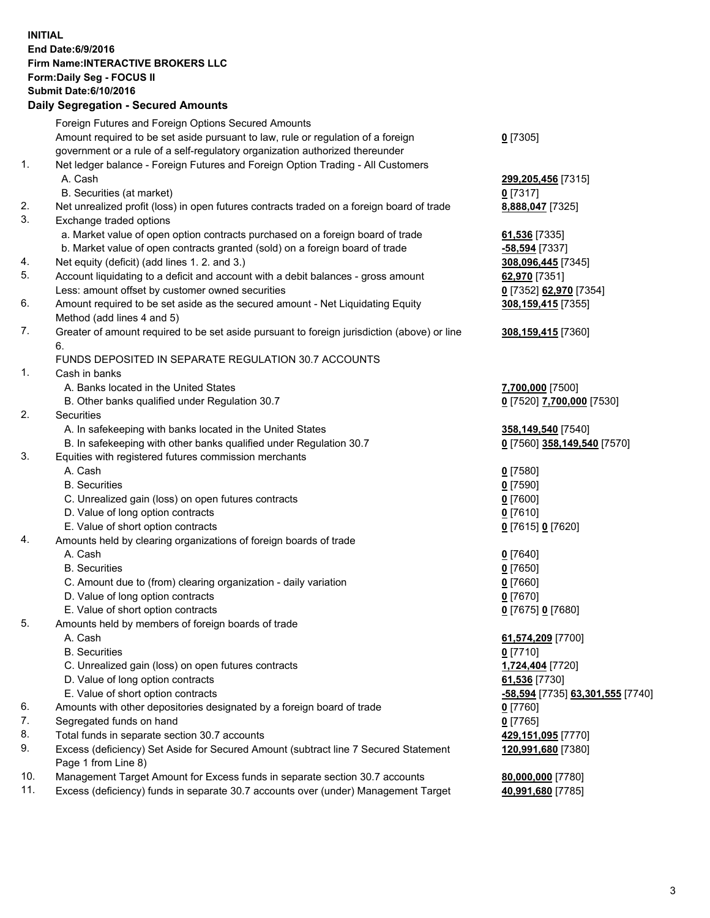## **INITIAL End Date:6/9/2016 Firm Name:INTERACTIVE BROKERS LLC Form:Daily Seg - FOCUS II Submit Date:6/10/2016 Daily Segregation - Secured Amounts**

|     | Foreign Futures and Foreign Options Secured Amounts                                         |                                  |
|-----|---------------------------------------------------------------------------------------------|----------------------------------|
|     | Amount required to be set aside pursuant to law, rule or regulation of a foreign            | $0$ [7305]                       |
|     | government or a rule of a self-regulatory organization authorized thereunder                |                                  |
| 1.  | Net ledger balance - Foreign Futures and Foreign Option Trading - All Customers             |                                  |
|     | A. Cash                                                                                     | 299,205,456 [7315]               |
|     | B. Securities (at market)                                                                   | $0$ [7317]                       |
| 2.  | Net unrealized profit (loss) in open futures contracts traded on a foreign board of trade   | 8,888,047 [7325]                 |
| 3.  | Exchange traded options                                                                     |                                  |
|     | a. Market value of open option contracts purchased on a foreign board of trade              | 61,536 [7335]                    |
|     | b. Market value of open contracts granted (sold) on a foreign board of trade                | -58,594 [7337]                   |
| 4.  | Net equity (deficit) (add lines 1.2. and 3.)                                                | 308,096,445 [7345]               |
| 5.  | Account liquidating to a deficit and account with a debit balances - gross amount           | 62,970 [7351]                    |
|     | Less: amount offset by customer owned securities                                            | 0 [7352] 62,970 [7354]           |
| 6.  | Amount required to be set aside as the secured amount - Net Liquidating Equity              | 308,159,415 [7355]               |
|     | Method (add lines 4 and 5)                                                                  |                                  |
| 7.  |                                                                                             |                                  |
|     | Greater of amount required to be set aside pursuant to foreign jurisdiction (above) or line | 308,159,415 [7360]               |
|     | 6.                                                                                          |                                  |
|     | FUNDS DEPOSITED IN SEPARATE REGULATION 30.7 ACCOUNTS                                        |                                  |
| 1.  | Cash in banks                                                                               |                                  |
|     | A. Banks located in the United States                                                       | 7,700,000 [7500]                 |
|     | B. Other banks qualified under Regulation 30.7                                              | 0 [7520] 7,700,000 [7530]        |
| 2.  | Securities                                                                                  |                                  |
|     | A. In safekeeping with banks located in the United States                                   | 358,149,540 [7540]               |
|     | B. In safekeeping with other banks qualified under Regulation 30.7                          | 0 [7560] 358,149,540 [7570]      |
| 3.  | Equities with registered futures commission merchants                                       |                                  |
|     | A. Cash                                                                                     | $0$ [7580]                       |
|     | <b>B.</b> Securities                                                                        | $0$ [7590]                       |
|     | C. Unrealized gain (loss) on open futures contracts                                         | $0$ [7600]                       |
|     | D. Value of long option contracts                                                           | $0$ [7610]                       |
|     | E. Value of short option contracts                                                          | 0 [7615] 0 [7620]                |
| 4.  | Amounts held by clearing organizations of foreign boards of trade                           |                                  |
|     | A. Cash                                                                                     | $0$ [7640]                       |
|     | <b>B.</b> Securities                                                                        | $0$ [7650]                       |
|     | C. Amount due to (from) clearing organization - daily variation                             | $0$ [7660]                       |
|     | D. Value of long option contracts                                                           | $0$ [7670]                       |
|     | E. Value of short option contracts                                                          | 0 [7675] 0 [7680]                |
| 5.  | Amounts held by members of foreign boards of trade                                          |                                  |
|     | A. Cash                                                                                     | 61,574,209 [7700]                |
|     | <b>B.</b> Securities                                                                        | $0$ [7710]                       |
|     | C. Unrealized gain (loss) on open futures contracts                                         | 1,724,404 [7720]                 |
|     | D. Value of long option contracts                                                           | 61,536 [7730]                    |
|     | E. Value of short option contracts                                                          | -58,594 [7735] 63,301,555 [7740] |
| 6.  | Amounts with other depositories designated by a foreign board of trade                      | $0$ [7760]                       |
| 7.  | Segregated funds on hand                                                                    | $0$ [7765]                       |
| 8.  | Total funds in separate section 30.7 accounts                                               | 429,151,095 [7770]               |
| 9.  | Excess (deficiency) Set Aside for Secured Amount (subtract line 7 Secured Statement         | 120,991,680 [7380]               |
|     | Page 1 from Line 8)                                                                         |                                  |
| 10. | Management Target Amount for Excess funds in separate section 30.7 accounts                 | 80,000,000 [7780]                |
| 11. | Excess (deficiency) funds in separate 30.7 accounts over (under) Management Target          | 40,991,680 [7785]                |
|     |                                                                                             |                                  |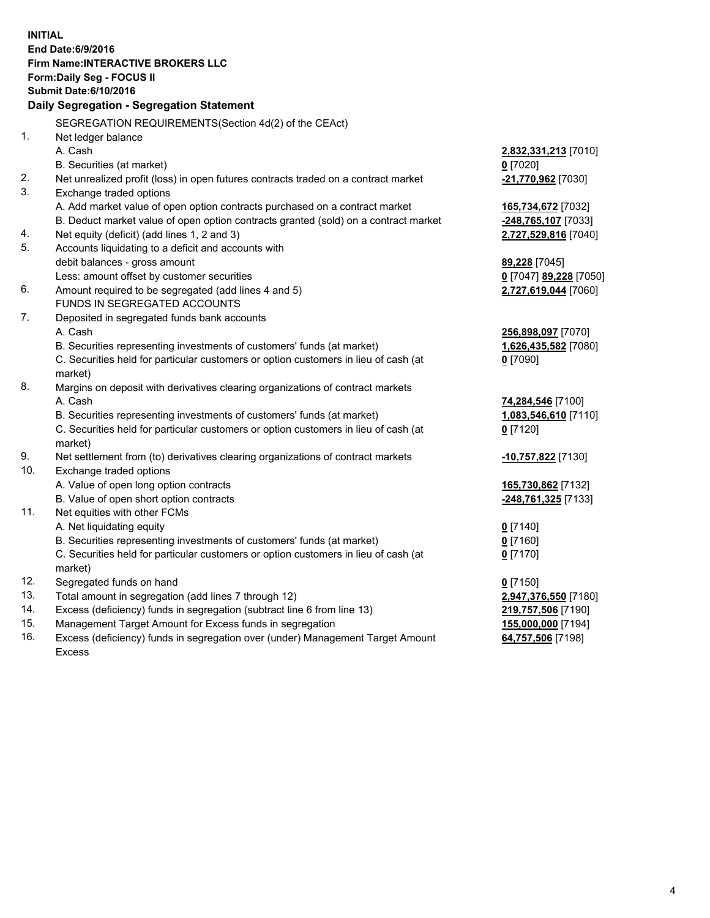**INITIAL End Date:6/9/2016 Firm Name:INTERACTIVE BROKERS LLC Form:Daily Seg - FOCUS II Submit Date:6/10/2016 Daily Segregation - Segregation Statement** SEGREGATION REQUIREMENTS(Section 4d(2) of the CEAct) 1. Net ledger balance A. Cash **2,832,331,213** [7010] B. Securities (at market) **0** [7020] 2. Net unrealized profit (loss) in open futures contracts traded on a contract market **-21,770,962** [7030] 3. Exchange traded options A. Add market value of open option contracts purchased on a contract market **165,734,672** [7032] B. Deduct market value of open option contracts granted (sold) on a contract market **-248,765,107** [7033] 4. Net equity (deficit) (add lines 1, 2 and 3) **2,727,529,816** [7040] 5. Accounts liquidating to a deficit and accounts with debit balances - gross amount **89,228** [7045] Less: amount offset by customer securities **0** [7047] **89,228** [7050] 6. Amount required to be segregated (add lines 4 and 5) **2,727,619,044** [7060] FUNDS IN SEGREGATED ACCOUNTS 7. Deposited in segregated funds bank accounts A. Cash **256,898,097** [7070] B. Securities representing investments of customers' funds (at market) **1,626,435,582** [7080] C. Securities held for particular customers or option customers in lieu of cash (at market) **0** [7090] 8. Margins on deposit with derivatives clearing organizations of contract markets A. Cash **74,284,546** [7100] B. Securities representing investments of customers' funds (at market) **1,083,546,610** [7110] C. Securities held for particular customers or option customers in lieu of cash (at market) **0** [7120] 9. Net settlement from (to) derivatives clearing organizations of contract markets **-10,757,822** [7130] 10. Exchange traded options A. Value of open long option contracts **165,730,862** [7132] B. Value of open short option contracts **-248,761,325** [7133] 11. Net equities with other FCMs A. Net liquidating equity **0** [7140] B. Securities representing investments of customers' funds (at market) **0** [7160] C. Securities held for particular customers or option customers in lieu of cash (at market) **0** [7170] 12. Segregated funds on hand **0** [7150] 13. Total amount in segregation (add lines 7 through 12) **2,947,376,550** [7180] 14. Excess (deficiency) funds in segregation (subtract line 6 from line 13) **219,757,506** [7190] 15. Management Target Amount for Excess funds in segregation **155,000,000** [7194] **64,757,506** [7198]

16. Excess (deficiency) funds in segregation over (under) Management Target Amount Excess